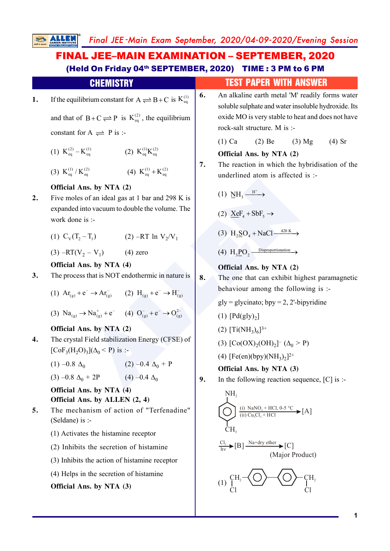## **ALLENDER ALLENDER ALLENDER (2)**<br>
ALLENDER ALLENDER (2) ALLENDER (2) ALLENDER ALLENDER (2) ALLENDER (2) ALLENDER (2) ALLENDER (2) ALLENDER (2) ALLENDER ALLENDER (2) ALLENDER ALLENDER (2) ALLENDER ALLENDER (2) ALLENDER ALL Final JEE -Main Exam September, 2020/04-09-2020/Evening Session **1.** If the equilibrium constant for  $A \rightleftharpoons B+C$  is  $K_{eq}^{(1)}$ and that of  $B+C \rightleftharpoons P$  is  $K_{eq}^{(2)}$ , the equilibrium constant for  $A \rightleftharpoons P$  is :-(1)  $K_{eq}^{(2)} - K_{eq}^{(1)}$  (2)  $K_{eq}^{(1)} K_{eq}^{(2)}$ (3)  $K_{eq}^{(1)}/K_{eq}^{(2)}$  (4)  $K_{eq}^{(1)}+K_{eq}^{(2)}$ **Official Ans. by NTA (2) 2.** Five moles of an ideal gas at 1 bar and 298 K is expanded into vacuum to double the volume. The work done is :- (1)  $C_v(T_2 - T_1)$  (2) –RT ln  $V_2/V_1$ (3)  $-RT(V_2 - V_1)$  (4) zero **Official Ans. by NTA (4) 3.** The process that is NOT endothermic in nature is FINAL JEE–MAIN EXAMINATION – SEPTEMBER, 2020 (Held On Friday 04th SEPTEMBER, 2020) TIME : 3 PM to 6 PM **CHEMISTRY TEST PAPER WITH ANSWER 6.** An alkaline earth metal 'M' readily forms water soluble sulphate and water insoluble hydroxide. Its oxide MO is very stable to heat and does not have rock-salt structure. M is :- (1) Ca (2) Be (3) Mg (4) Sr **Official Ans. by NTA (2) 7.** The reaction in which the hybridisation of the underlined atom is affected is :-  $(1)$   $\overline{\text{NH}}_3 \xrightarrow{\text{H}^+}$ (2)  $XeF_4 + SbF_5 \rightarrow$ (3)  $H_2SO_4 + NaCl \xrightarrow{420 K}$ (4)  $H_3PO_2 \xrightarrow{Disproportionation}$ **Official Ans. by NTA (2) 8.** The one that can exhibit highest paramagnetic

(1)  $Ar_{(g)} + e^- \rightarrow Ar_{(g)}^-$  (2)  $H_{(g)} + e^- \rightarrow H_{(g)}^-$ 

(3)  $\text{Na}_{(g)} \rightarrow \text{Na}_{(g)}^+ + e^-$  (4)  $\text{O}_{(g)}^- + e^- \rightarrow \text{O}_{(g)}^{2-}$ 

### **Official Ans. by NTA (2)**

**4.** The crystal Field stabilization Energy (CFSE) of [ $\text{CoF}_3(\text{H}_2\text{O})_3$ ]( $\Delta_0$  < P) is :-

> $(1)$  –0.8  $\Delta_0$  $(2) -0.4 \Delta_0 + P$

 $(3) -0.8 \Delta_0$  $+ 2P$  (4) –0.4  $\Delta_0$ 

**Official Ans. by NTA (4) Official Ans. by ALLEN (2, 4)**

- **5.** The mechanism of action of "Terfenadine" (Seldane) is :-
	- (1) Activates the histamine receptor
	- (2) Inhibits the secretion of histamine
	- (3) Inhibits the action of histamine receptor
	- (4) Helps in the secretion of histamine

**Official Ans. by NTA (3)**

**Official Ans. by NTA (3) 9.** In the following reaction sequence, [C] is :-

behaviour among the following is :-

 $gly = glycinato; by = 2, 2'-bipyridine$ 

(3)  $[Co(OX)<sub>2</sub>(OH)<sub>2</sub>] - (\Delta<sub>0</sub> > P)$ 

(4) [Fe(en)(bpy)(NH<sub>3</sub>)<sub>2</sub>]<sup>2+</sup>

(1)  $[Pd(gly)<sub>2</sub>]$ 

(2)  $[Ti(NH_3)_6]^{3+}$ 

NH<sub>2</sub>  
\n
$$
\begin{array}{c}\n\bigcup_{(i) \text{ NaNO}_2 + \text{HCl, 0-5 °C}}\n\bigoplus_{(ii) \text{ Cu}_2\text{Cl}_2 + \text{HCl}}\n\bigoplus_{\text{hv}}\n\bigoplus_{\text{hv}}\n\bigoplus_{\text{lv}}\n\bigoplus_{\text{m}}\n\end{array}
$$
\n[*A*]

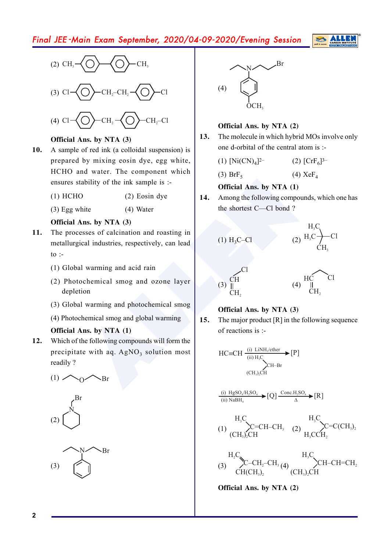# Final JEE -Main Exam September, 2020/04-09-2020/Evening Session





### **Official Ans. by NTA (3)**

- **10.** A sample of red ink (a colloidal suspension) is prepared by mixing eosin dye, egg white, HCHO and water. The component which ensures stability of the ink sample is :-
	- (1) HCHO (2) Eosin dye
	- (3) Egg white (4) Water

### **Official Ans. by NTA (3)**

- **11.** The processes of calcination and roasting in metallurgical industries, respectively, can lead to :-
	- (1) Global warming and acid rain
	- (2) Photochemical smog and ozone layer depletion
	- (3) Global warming and photochemical smog
	- (4) Photochemical smog and global warming

### **Official Ans. by NTA (1)**

**12.** Which of the following compounds will form the precipitate with aq. AgNO<sub>3</sub> solution most readily ?

$$
(1) \bigwedge {}_{0} \bigwedge {}_{Br}
$$







### **Official Ans. by NTA (2)**

**13.** The molecule in which hybrid MOs involve only one d-orbital of the central atom is :-

> $(1)$  [Ni $(CN)_4$ ] 2–  $(2)$   $[CrF_6]$ <sup>3–</sup>

 $(3)$  BrF<sub>5</sub> (4) XeF 4

### **Official Ans. by NTA (1)**

**14.** Among the following compounds, which one has the shortest C—Cl bond ?



### **Official Ans. by NTA (3)**

**15.** The major product [R] in the following sequence of reactions is :-

$$
HC=CH \xrightarrow{\text{(i) } L\text{i}NH_2\text{ether}} [P]
$$
\n
$$
\xrightarrow{\text{(ii) } H_3C} CH - Br
$$
\n
$$
\xrightarrow{\text{(CH}_3)_2CH}
$$

(i) 
$$
\underset{\text{(ii) } \text{NaBH}_4}{\text{HgSO}_4 \times \text{H}_2\text{SO}_4} \rightarrow [Q] \xrightarrow{\text{Conc.H}_2\text{SO}_4} \rightarrow [R]
$$

$$
\left(\begin{matrix} & & & H_{3}C \\ 10 & & & \\ & & & C = CH-CH_{3} \\ (CH_{3})_{2}CH & & & \\ \end{matrix}\right)_{H_{3}CCH} \times C=C(CH_{3})_{2}
$$

(3) H C<sup>2</sup> C–CH –CH 2 3 CH(CH )3 2 (4) H C<sup>3</sup> CH–CH=CH 2 (CH ) CH 3 2

**Official Ans. by NTA (2)**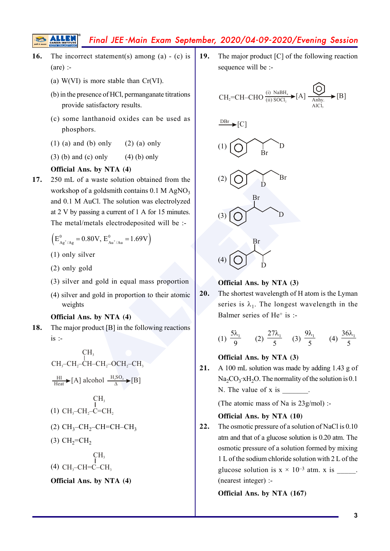# Final JEE -Main Exam September, 2020/04-09-2020/Evening Session

- **16.** The incorrect statement(s) among (a) (c) is (are) :-
	- (a) W(VI) is more stable than Cr(VI).
	- (b) in the presence of HCl, permanganate titrations provide satisfactory results.
	- (c) some lanthanoid oxides can be used as phosphors.
	- (1) (a) and (b) only (2) (a) only
	- (3) (b) and (c) only (4) (b) only

#### **Official Ans. by NTA (4)**

**17.** 250 mL of a waste solution obtained from the workshop of a goldsmith contains  $0.1 M AgNO<sub>3</sub>$ and 0.1 M AuCl. The solution was electrolyzed at 2 V by passing a current of 1 A for 15 minutes. The metal/metals electrodeposited will be :-

$$
\left(E_{A g^{+}/A g}^{0} = 0.80 V, E_{Au^{+}/Au}^{0} = 1.69 V\right)
$$

- (1) only silver
- (2) only gold
- (3) silver and gold in equal mass proportion
- (4) silver and gold in proportion to their atomic weights

#### **Official Ans. by NTA (4)**

**18.** The major product [B] in the following reactions  $is$  :-

$$
CH3CH3-CH2-CH-CH2-OCH2-CH3
$$
\n
$$
\frac{HI}{Heat} \triangleright [A] \text{ alcohol } \frac{H_3SO_4}{\Delta} \triangleright [B]
$$
\n
$$
CH3
$$
\n
$$
(1) CH3-CH2-C=CH2
$$
\n
$$
(2) CH3-CH2-CH=CH-CH3
$$
\n
$$
(3) CH2=CH2
$$
\n
$$
CH3
$$
\n
$$
(4) CH3-CH=C-H3
$$
\n**Official Ans. by NTA (4)**

**19.** The major product [C] of the following reaction sequence will be :-

is more stable than Cr(VI).  
\nresence of HCl, permanaganate titrations  
\nle satisfactory results.  
\nlanthanoid oxides can be used as  
\nhors.  
\n(d (b) only (2) (a) only  
\n(d (c) only (4) (b) only  
\n
$$
P(S) = \text{CII} - \text{CHO} \frac{(i) \text{ NaBH}_4}{(ii) \text{ SOCl}_3} \neq [A] \frac{[A]}{\text{Anly.}} \frac{[B]}{[C]}
$$
\n
$$
[C]
$$
\nAs. by NTA (4)  
\nof a waste solution obtained from the  
\nof a golds  
\n1 AuCl. The solution was electrolyzed  
\npassing a current of 1 A for 15 minutes.  
\n1/metals electrodeposited will be :-  
\n0.80V,  $E_{Au}^{0}$  (a) 1.69V  
\nB  
\n1/Wretals electrodeposited will be :-  
\n1/Wretals electrodeposited will be :-  
\n1/Wet  
\n1/Wet al. (3) 1.69V  
\n1/Wet  
\n1/Wet al. (4) 1.69V  
\n1/Wet al. (5) 1.74 Vet al. (6) 1.74 Vet al. (7) 1.74 Vet al. (8) 1.74 Vet al. (9) 1.74 Vet al. (10) 1.74 Vet al. (11) 1.74 Vet al. (12) 1.74 Vet al. (13) 1.74 Vet al. (15) 1.74 Vet al. (17) 1.74 Vet al. (19) 1.74 Vet al. (19) 1.74 Vet al. (19) 1.74 Vet al. (19) 1.74 Vet al. (19) 1.74 Vet al. (19) 1.74 Vet al. (19) 1.74 Vet al. (19) 1.74 Vet al. (10) 1.74 Vet al. (11) 1.74 Vet al. (19) 1.74 Vet al. (10) 1.74 Vet al. (11) 1.74 Vet al. (11) 1.74 Vet al. (12) 1.74 Vet al. (13) 1.74 Vet al. (15) 1.74 Vet al. (16) 1.74 Vet al. (17) 1.74 Vet al. (19) 1.74 Vet

#### **Official Ans. by NTA (3)**

 $\overline{D}$ 

**20.** The shortest wavelength of H atom is the Lyman series is  $\lambda_1$ . The longest wavelength in the Balmer series of He<sup>+</sup> is :-

(1) 
$$
\frac{5\lambda_1}{9}
$$
 (2)  $\frac{27\lambda_1}{5}$  (3)  $\frac{9\lambda_1}{5}$  (4)  $\frac{36\lambda_1}{5}$ 

**Official Ans. by NTA (3)**

**21.** A 100 mL solution was made by adding 1.43 g of  $\text{Na}_2\text{CO}_3$  :  $\text{xH}_2\text{O}$ . The normality of the solution is 0.1 N. The value of  $x$  is  $\overline{\phantom{a}}$ 

(The atomic mass of Na is 23g/mol) :-

#### **Official Ans. by NTA (10)**

**22.** The osmotic pressure of a solution of NaCl is 0.10 atm and that of a glucose solution is 0.20 atm. The osmotic pressure of a solution formed by mixing 1 L of the sodium chloride solution with 2 L of the glucose solution is  $x \times 10^{-3}$  atm. x is  $\qquad \therefore$ (nearest integer) :-

**Official Ans. by NTA (167)**